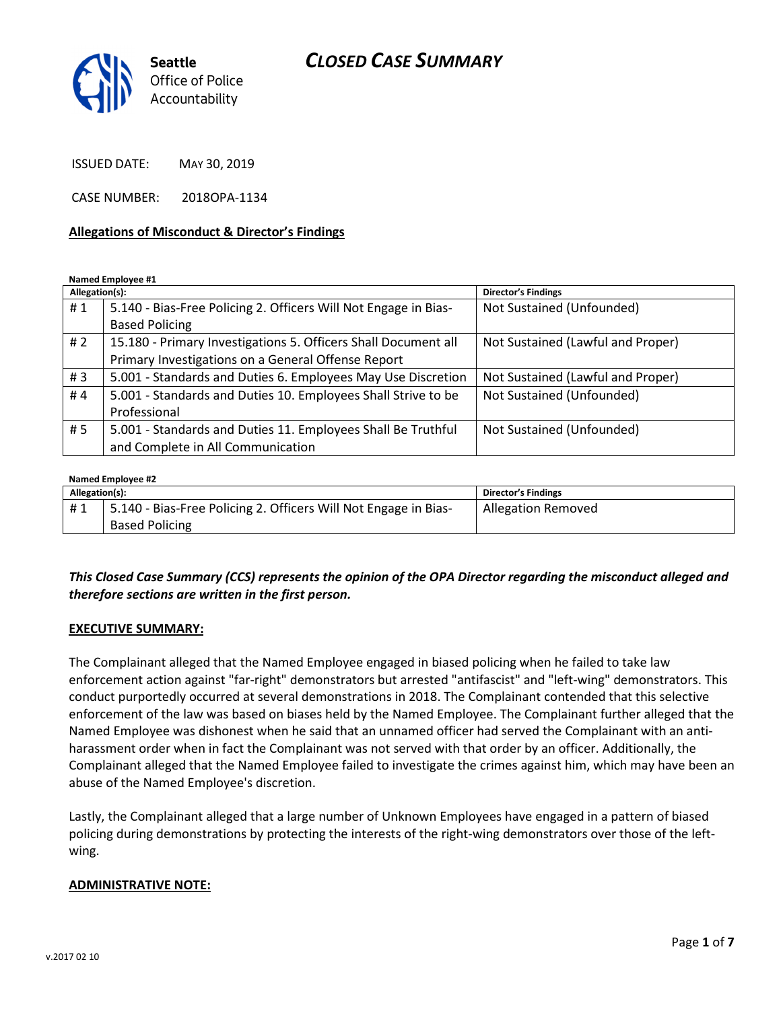## CLOSED CASE SUMMARY



ISSUED DATE: MAY 30, 2019

CASE NUMBER: 2018OPA-1134

#### Allegations of Misconduct & Director's Findings

Named Employee #1

| Allegation(s): |                                                                 | <b>Director's Findings</b>        |
|----------------|-----------------------------------------------------------------|-----------------------------------|
| #1             | 5.140 - Bias-Free Policing 2. Officers Will Not Engage in Bias- | Not Sustained (Unfounded)         |
|                | <b>Based Policing</b>                                           |                                   |
| #2             | 15.180 - Primary Investigations 5. Officers Shall Document all  | Not Sustained (Lawful and Proper) |
|                | Primary Investigations on a General Offense Report              |                                   |
| #3             | 5.001 - Standards and Duties 6. Employees May Use Discretion    | Not Sustained (Lawful and Proper) |
| #4             | 5.001 - Standards and Duties 10. Employees Shall Strive to be   | Not Sustained (Unfounded)         |
|                | Professional                                                    |                                   |
| #5             | 5.001 - Standards and Duties 11. Employees Shall Be Truthful    | Not Sustained (Unfounded)         |
|                | and Complete in All Communication                               |                                   |

#### Named Employee #2

| Allegation(s): |                                                                 | <b>Director's Findings</b> |
|----------------|-----------------------------------------------------------------|----------------------------|
| #1             | 5.140 - Bias-Free Policing 2. Officers Will Not Engage in Bias- | <b>Allegation Removed</b>  |
|                | <b>Based Policing</b>                                           |                            |

#### This Closed Case Summary (CCS) represents the opinion of the OPA Director regarding the misconduct alleged and therefore sections are written in the first person.

#### EXECUTIVE SUMMARY:

The Complainant alleged that the Named Employee engaged in biased policing when he failed to take law enforcement action against "far-right" demonstrators but arrested "antifascist" and "left-wing" demonstrators. This conduct purportedly occurred at several demonstrations in 2018. The Complainant contended that this selective enforcement of the law was based on biases held by the Named Employee. The Complainant further alleged that the Named Employee was dishonest when he said that an unnamed officer had served the Complainant with an antiharassment order when in fact the Complainant was not served with that order by an officer. Additionally, the Complainant alleged that the Named Employee failed to investigate the crimes against him, which may have been an abuse of the Named Employee's discretion.

Lastly, the Complainant alleged that a large number of Unknown Employees have engaged in a pattern of biased policing during demonstrations by protecting the interests of the right-wing demonstrators over those of the leftwing.

#### ADMINISTRATIVE NOTE: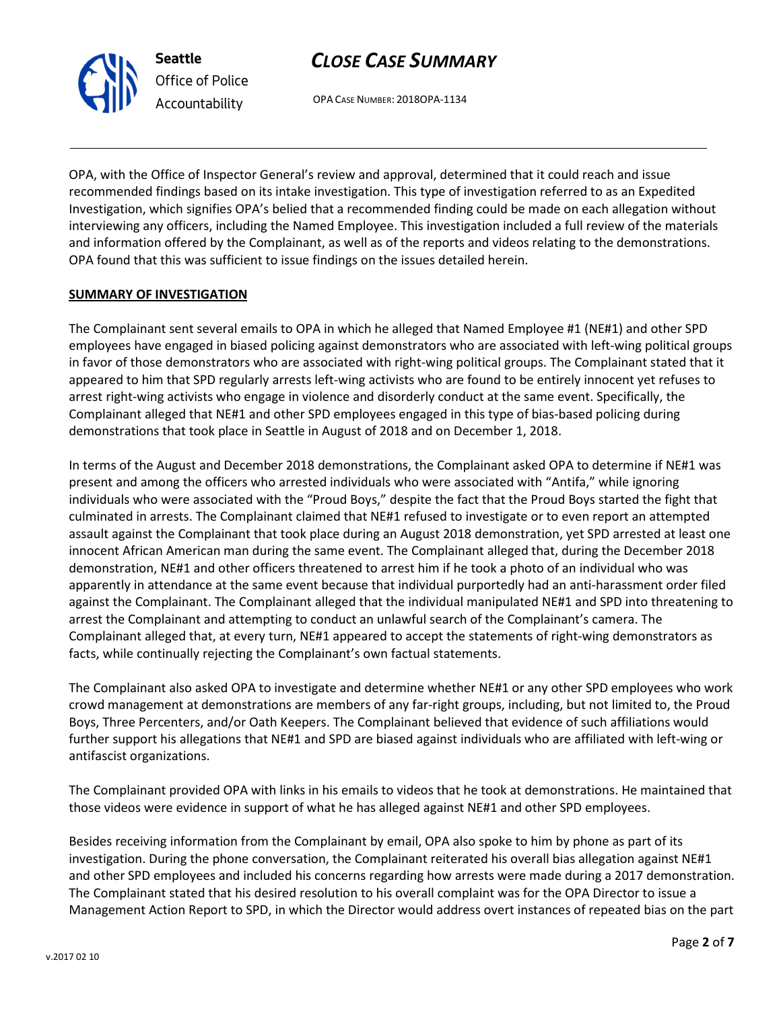## CLOSE CASE SUMMARY

OPA CASE NUMBER: 2018OPA-1134

OPA, with the Office of Inspector General's review and approval, determined that it could reach and issue recommended findings based on its intake investigation. This type of investigation referred to as an Expedited Investigation, which signifies OPA's belied that a recommended finding could be made on each allegation without interviewing any officers, including the Named Employee. This investigation included a full review of the materials and information offered by the Complainant, as well as of the reports and videos relating to the demonstrations. OPA found that this was sufficient to issue findings on the issues detailed herein.

#### SUMMARY OF INVESTIGATION

Seattle

Office of Police Accountability

The Complainant sent several emails to OPA in which he alleged that Named Employee #1 (NE#1) and other SPD employees have engaged in biased policing against demonstrators who are associated with left-wing political groups in favor of those demonstrators who are associated with right-wing political groups. The Complainant stated that it appeared to him that SPD regularly arrests left-wing activists who are found to be entirely innocent yet refuses to arrest right-wing activists who engage in violence and disorderly conduct at the same event. Specifically, the Complainant alleged that NE#1 and other SPD employees engaged in this type of bias-based policing during demonstrations that took place in Seattle in August of 2018 and on December 1, 2018.

In terms of the August and December 2018 demonstrations, the Complainant asked OPA to determine if NE#1 was present and among the officers who arrested individuals who were associated with "Antifa," while ignoring individuals who were associated with the "Proud Boys," despite the fact that the Proud Boys started the fight that culminated in arrests. The Complainant claimed that NE#1 refused to investigate or to even report an attempted assault against the Complainant that took place during an August 2018 demonstration, yet SPD arrested at least one innocent African American man during the same event. The Complainant alleged that, during the December 2018 demonstration, NE#1 and other officers threatened to arrest him if he took a photo of an individual who was apparently in attendance at the same event because that individual purportedly had an anti-harassment order filed against the Complainant. The Complainant alleged that the individual manipulated NE#1 and SPD into threatening to arrest the Complainant and attempting to conduct an unlawful search of the Complainant's camera. The Complainant alleged that, at every turn, NE#1 appeared to accept the statements of right-wing demonstrators as facts, while continually rejecting the Complainant's own factual statements.

The Complainant also asked OPA to investigate and determine whether NE#1 or any other SPD employees who work crowd management at demonstrations are members of any far-right groups, including, but not limited to, the Proud Boys, Three Percenters, and/or Oath Keepers. The Complainant believed that evidence of such affiliations would further support his allegations that NE#1 and SPD are biased against individuals who are affiliated with left-wing or antifascist organizations.

The Complainant provided OPA with links in his emails to videos that he took at demonstrations. He maintained that those videos were evidence in support of what he has alleged against NE#1 and other SPD employees.

Besides receiving information from the Complainant by email, OPA also spoke to him by phone as part of its investigation. During the phone conversation, the Complainant reiterated his overall bias allegation against NE#1 and other SPD employees and included his concerns regarding how arrests were made during a 2017 demonstration. The Complainant stated that his desired resolution to his overall complaint was for the OPA Director to issue a Management Action Report to SPD, in which the Director would address overt instances of repeated bias on the part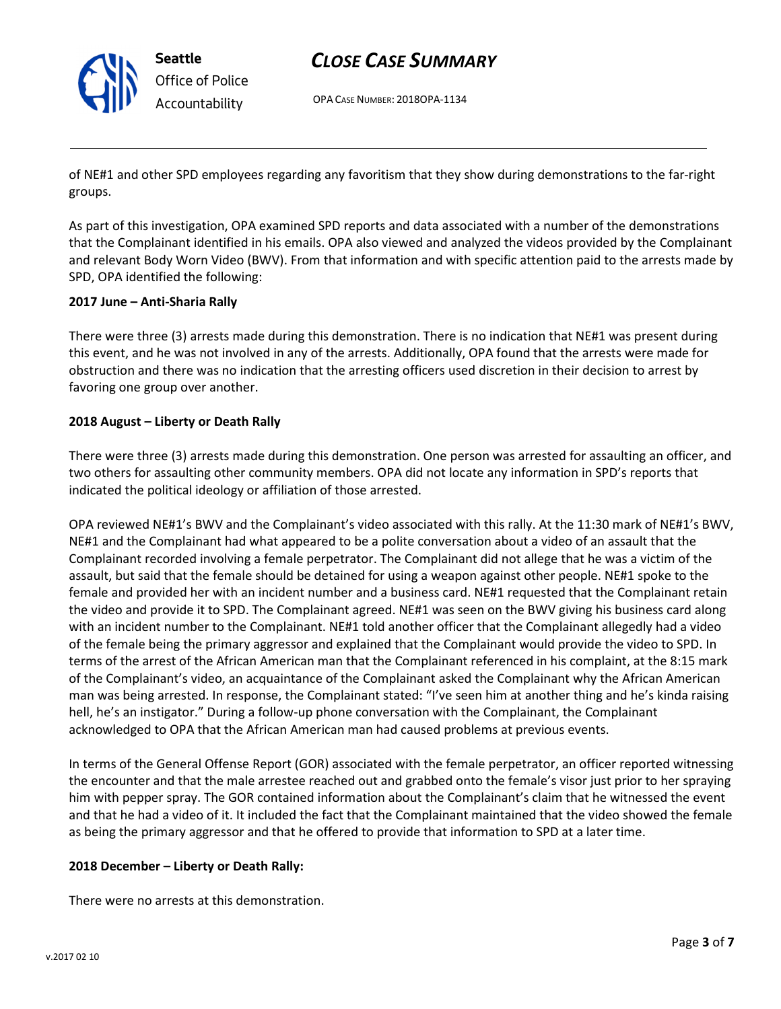

Seattle Office of Police Accountability

# CLOSE CASE SUMMARY

OPA CASE NUMBER: 2018OPA-1134

of NE#1 and other SPD employees regarding any favoritism that they show during demonstrations to the far-right groups.

As part of this investigation, OPA examined SPD reports and data associated with a number of the demonstrations that the Complainant identified in his emails. OPA also viewed and analyzed the videos provided by the Complainant and relevant Body Worn Video (BWV). From that information and with specific attention paid to the arrests made by SPD, OPA identified the following:

#### 2017 June – Anti-Sharia Rally

There were three (3) arrests made during this demonstration. There is no indication that NE#1 was present during this event, and he was not involved in any of the arrests. Additionally, OPA found that the arrests were made for obstruction and there was no indication that the arresting officers used discretion in their decision to arrest by favoring one group over another.

#### 2018 August – Liberty or Death Rally

There were three (3) arrests made during this demonstration. One person was arrested for assaulting an officer, and two others for assaulting other community members. OPA did not locate any information in SPD's reports that indicated the political ideology or affiliation of those arrested.

OPA reviewed NE#1's BWV and the Complainant's video associated with this rally. At the 11:30 mark of NE#1's BWV, NE#1 and the Complainant had what appeared to be a polite conversation about a video of an assault that the Complainant recorded involving a female perpetrator. The Complainant did not allege that he was a victim of the assault, but said that the female should be detained for using a weapon against other people. NE#1 spoke to the female and provided her with an incident number and a business card. NE#1 requested that the Complainant retain the video and provide it to SPD. The Complainant agreed. NE#1 was seen on the BWV giving his business card along with an incident number to the Complainant. NE#1 told another officer that the Complainant allegedly had a video of the female being the primary aggressor and explained that the Complainant would provide the video to SPD. In terms of the arrest of the African American man that the Complainant referenced in his complaint, at the 8:15 mark of the Complainant's video, an acquaintance of the Complainant asked the Complainant why the African American man was being arrested. In response, the Complainant stated: "I've seen him at another thing and he's kinda raising hell, he's an instigator." During a follow-up phone conversation with the Complainant, the Complainant acknowledged to OPA that the African American man had caused problems at previous events.

In terms of the General Offense Report (GOR) associated with the female perpetrator, an officer reported witnessing the encounter and that the male arrestee reached out and grabbed onto the female's visor just prior to her spraying him with pepper spray. The GOR contained information about the Complainant's claim that he witnessed the event and that he had a video of it. It included the fact that the Complainant maintained that the video showed the female as being the primary aggressor and that he offered to provide that information to SPD at a later time.

#### 2018 December – Liberty or Death Rally:

There were no arrests at this demonstration.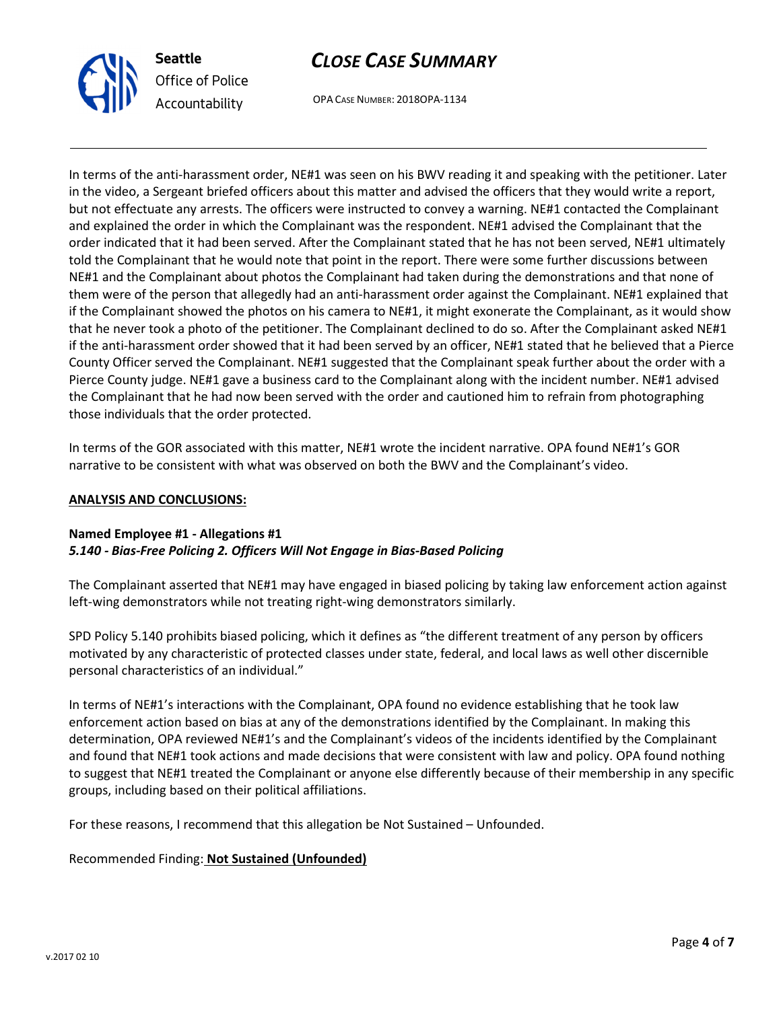

# CLOSE CASE SUMMARY

OPA CASE NUMBER: 2018OPA-1134

In terms of the anti-harassment order, NE#1 was seen on his BWV reading it and speaking with the petitioner. Later in the video, a Sergeant briefed officers about this matter and advised the officers that they would write a report, but not effectuate any arrests. The officers were instructed to convey a warning. NE#1 contacted the Complainant and explained the order in which the Complainant was the respondent. NE#1 advised the Complainant that the order indicated that it had been served. After the Complainant stated that he has not been served, NE#1 ultimately told the Complainant that he would note that point in the report. There were some further discussions between NE#1 and the Complainant about photos the Complainant had taken during the demonstrations and that none of them were of the person that allegedly had an anti-harassment order against the Complainant. NE#1 explained that if the Complainant showed the photos on his camera to NE#1, it might exonerate the Complainant, as it would show that he never took a photo of the petitioner. The Complainant declined to do so. After the Complainant asked NE#1 if the anti-harassment order showed that it had been served by an officer, NE#1 stated that he believed that a Pierce County Officer served the Complainant. NE#1 suggested that the Complainant speak further about the order with a Pierce County judge. NE#1 gave a business card to the Complainant along with the incident number. NE#1 advised the Complainant that he had now been served with the order and cautioned him to refrain from photographing those individuals that the order protected.

In terms of the GOR associated with this matter, NE#1 wrote the incident narrative. OPA found NE#1's GOR narrative to be consistent with what was observed on both the BWV and the Complainant's video.

#### ANALYSIS AND CONCLUSIONS:

#### Named Employee #1 - Allegations #1 5.140 - Bias-Free Policing 2. Officers Will Not Engage in Bias-Based Policing

The Complainant asserted that NE#1 may have engaged in biased policing by taking law enforcement action against left-wing demonstrators while not treating right-wing demonstrators similarly.

SPD Policy 5.140 prohibits biased policing, which it defines as "the different treatment of any person by officers motivated by any characteristic of protected classes under state, federal, and local laws as well other discernible personal characteristics of an individual."

In terms of NE#1's interactions with the Complainant, OPA found no evidence establishing that he took law enforcement action based on bias at any of the demonstrations identified by the Complainant. In making this determination, OPA reviewed NE#1's and the Complainant's videos of the incidents identified by the Complainant and found that NE#1 took actions and made decisions that were consistent with law and policy. OPA found nothing to suggest that NE#1 treated the Complainant or anyone else differently because of their membership in any specific groups, including based on their political affiliations.

For these reasons, I recommend that this allegation be Not Sustained – Unfounded.

### Recommended Finding: Not Sustained (Unfounded)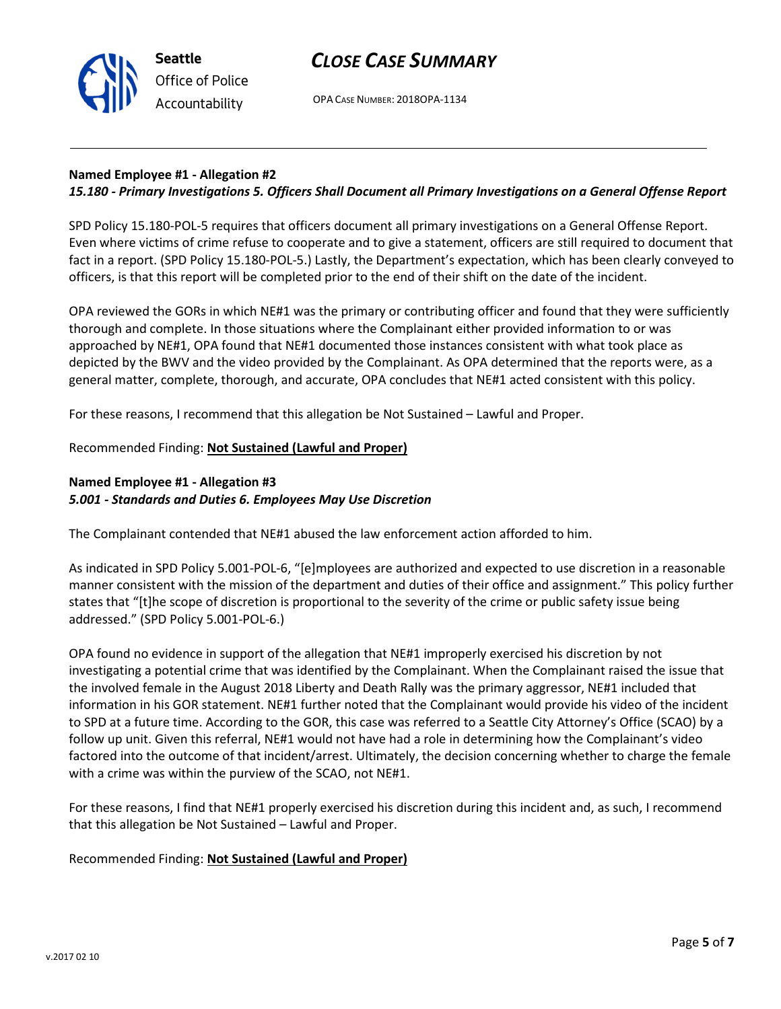

Seattle Office of Police Accountability

OPA CASE NUMBER: 2018OPA-1134

### Named Employee #1 - Allegation #2

### 15.180 - Primary Investigations 5. Officers Shall Document all Primary Investigations on a General Offense Report

SPD Policy 15.180-POL-5 requires that officers document all primary investigations on a General Offense Report. Even where victims of crime refuse to cooperate and to give a statement, officers are still required to document that fact in a report. (SPD Policy 15.180-POL-5.) Lastly, the Department's expectation, which has been clearly conveyed to officers, is that this report will be completed prior to the end of their shift on the date of the incident.

OPA reviewed the GORs in which NE#1 was the primary or contributing officer and found that they were sufficiently thorough and complete. In those situations where the Complainant either provided information to or was approached by NE#1, OPA found that NE#1 documented those instances consistent with what took place as depicted by the BWV and the video provided by the Complainant. As OPA determined that the reports were, as a general matter, complete, thorough, and accurate, OPA concludes that NE#1 acted consistent with this policy.

For these reasons, I recommend that this allegation be Not Sustained – Lawful and Proper.

### Recommended Finding: Not Sustained (Lawful and Proper)

### Named Employee #1 - Allegation #3 5.001 - Standards and Duties 6. Employees May Use Discretion

The Complainant contended that NE#1 abused the law enforcement action afforded to him.

As indicated in SPD Policy 5.001-POL-6, "[e]mployees are authorized and expected to use discretion in a reasonable manner consistent with the mission of the department and duties of their office and assignment." This policy further states that "[t]he scope of discretion is proportional to the severity of the crime or public safety issue being addressed." (SPD Policy 5.001-POL-6.)

OPA found no evidence in support of the allegation that NE#1 improperly exercised his discretion by not investigating a potential crime that was identified by the Complainant. When the Complainant raised the issue that the involved female in the August 2018 Liberty and Death Rally was the primary aggressor, NE#1 included that information in his GOR statement. NE#1 further noted that the Complainant would provide his video of the incident to SPD at a future time. According to the GOR, this case was referred to a Seattle City Attorney's Office (SCAO) by a follow up unit. Given this referral, NE#1 would not have had a role in determining how the Complainant's video factored into the outcome of that incident/arrest. Ultimately, the decision concerning whether to charge the female with a crime was within the purview of the SCAO, not NE#1.

For these reasons, I find that NE#1 properly exercised his discretion during this incident and, as such, I recommend that this allegation be Not Sustained – Lawful and Proper.

Recommended Finding: Not Sustained (Lawful and Proper)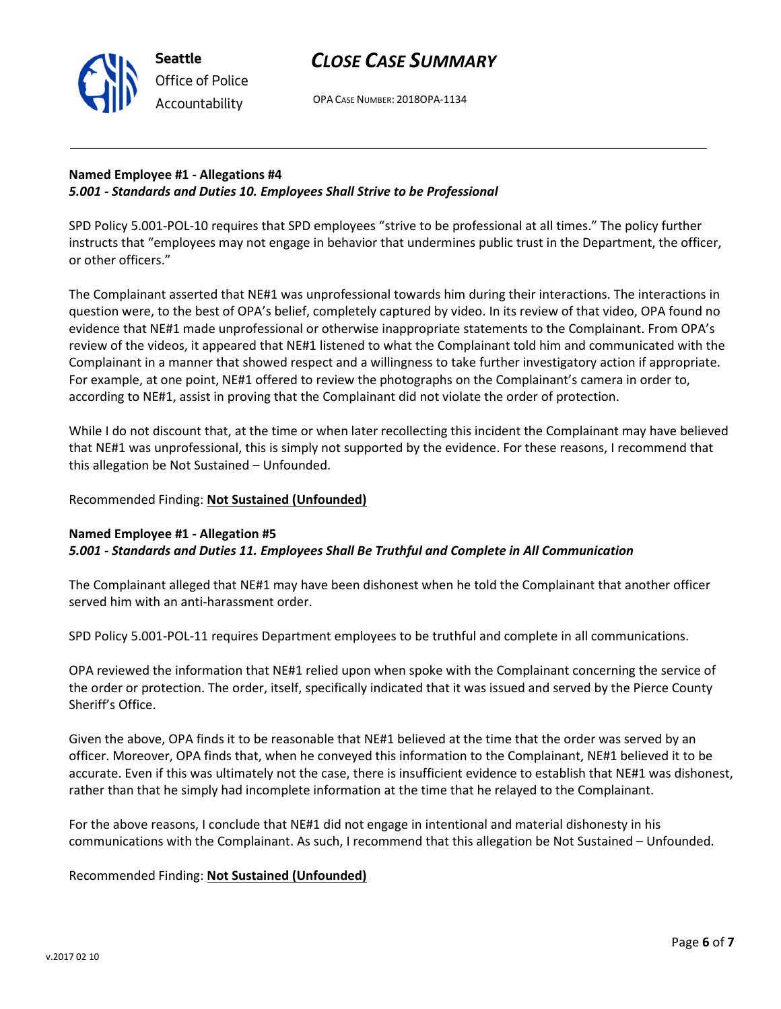## CLOSE CASE SUMMARY

OPA CASE NUMBER: 2018OPA-1134

### Named Employee #1 - Allegations #4 5.001 - Standards and Duties 10. Employees Shall Strive to be Professional

SPD Policy 5.001-POL-10 requires that SPD employees "strive to be professional at all times." The policy further instructs that "employees may not engage in behavior that undermines public trust in the Department, the officer, or other officers."

The Complainant asserted that NE#1 was unprofessional towards him during their interactions. The interactions in question were, to the best of OPA's belief, completely captured by video. In its review of that video, OPA found no evidence that NE#1 made unprofessional or otherwise inappropriate statements to the Complainant. From OPA's review of the videos, it appeared that NE#1 listened to what the Complainant told him and communicated with the Complainant in a manner that showed respect and a willingness to take further investigatory action if appropriate. For example, at one point, NE#1 offered to review the photographs on the Complainant's camera in order to, according to NE#1, assist in proving that the Complainant did not violate the order of protection.

While I do not discount that, at the time or when later recollecting this incident the Complainant may have believed that NE#1 was unprofessional, this is simply not supported by the evidence. For these reasons, I recommend that this allegation be Not Sustained – Unfounded.

#### Recommended Finding: Not Sustained (Unfounded)

#### Named Employee #1 - Allegation #5 5.001 - Standards and Duties 11. Employees Shall Be Truthful and Complete in All Communication

The Complainant alleged that NE#1 may have been dishonest when he told the Complainant that another officer served him with an anti-harassment order.

SPD Policy 5.001-POL-11 requires Department employees to be truthful and complete in all communications.

OPA reviewed the information that NE#1 relied upon when spoke with the Complainant concerning the service of the order or protection. The order, itself, specifically indicated that it was issued and served by the Pierce County Sheriff's Office.

Given the above, OPA finds it to be reasonable that NE#1 believed at the time that the order was served by an officer. Moreover, OPA finds that, when he conveyed this information to the Complainant, NE#1 believed it to be accurate. Even if this was ultimately not the case, there is insufficient evidence to establish that NE#1 was dishonest, rather than that he simply had incomplete information at the time that he relayed to the Complainant.

For the above reasons, I conclude that NE#1 did not engage in intentional and material dishonesty in his communications with the Complainant. As such, I recommend that this allegation be Not Sustained – Unfounded.

### Recommended Finding: Not Sustained (Unfounded)



Seattle Office of Police Accountability